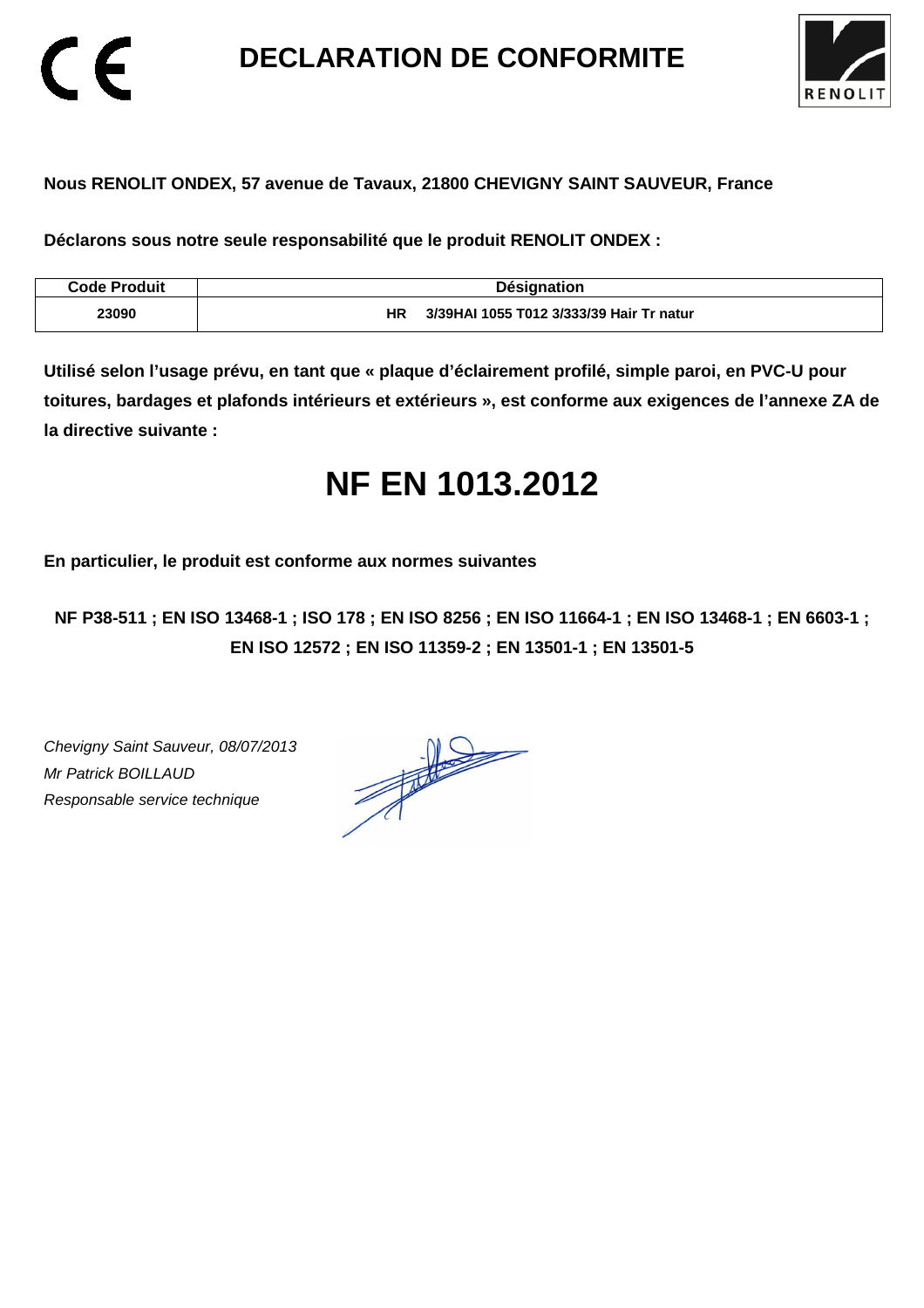**DECLARATION DE CONFORMITE** 



### **Nous RENOLIT ONDEX, 57 avenue de Tavaux, 21800 CHEVIGNY SAINT SAUVEUR, France**

**Déclarons sous notre seule responsabilité que le produit RENOLIT ONDEX :** 

| Code Produit | <b>Désignation</b>                              |
|--------------|-------------------------------------------------|
| 23090        | 3/39 HAI 1055 T012 3/333/39 Hair Tr natur<br>ΗR |

**Utilisé selon l'usage prévu, en tant que « plaque d'éclairement profilé, simple paroi, en PVC-U pour toitures, bardages et plafonds intérieurs et extérieurs », est conforme aux exigences de l'annexe ZA de la directive suivante :** 

# **NF EN 1013.2012**

**En particulier, le produit est conforme aux normes suivantes** 

**NF P38-511 ; EN ISO 13468-1 ; ISO 178 ; EN ISO 8256 ; EN ISO 11664-1 ; EN ISO 13468-1 ; EN 6603-1 ; EN ISO 12572 ; EN ISO 11359-2 ; EN 13501-1 ; EN 13501-5**

Chevigny Saint Sauveur, 08/07/2013 Mr Patrick BOILLAUD Responsable service technique

 $\epsilon$ 

 $\frac{1}{\sqrt{2}}$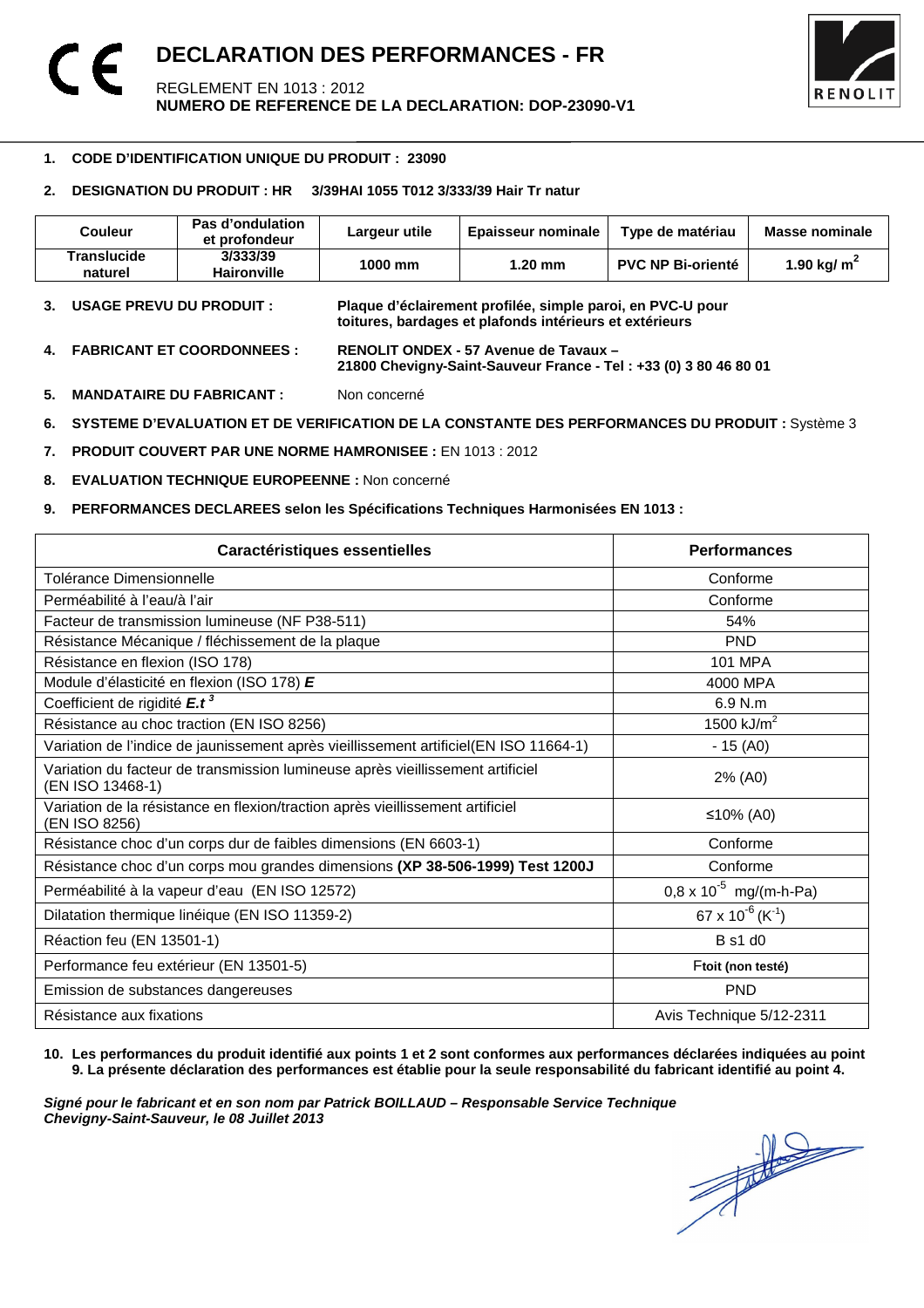

#### -**1. CODE D'IDENTIFICATION UNIQUE DU PRODUIT : 23090**

#### **2. DESIGNATION DU PRODUIT : HR 3/39HAI 1055 T012 3/333/39 Hair Tr natur**

| Couleur                | Pas d'ondulation<br>et profondeur | Largeur utile | <b>Epaisseur nominale</b> | Type de matériau         | Masse nominale |
|------------------------|-----------------------------------|---------------|---------------------------|--------------------------|----------------|
| Translucide<br>naturel | 3/333/39<br><b>Haironville</b>    | 1000 mm       | 1.20 mm                   | <b>PVC NP Bi-orienté</b> | 1.90 kg/ $m2$  |

- **3. USAGE PREVU DU PRODUIT : Plaque d'éclairement profilée, simple paroi, en PVC-U pour toitures, bardages et plafonds intérieurs et extérieurs**
- **4. FABRICANT ET COORDONNEES : RENOLIT ONDEX 57 Avenue de Tavaux 21800 Chevigny-Saint-Sauveur France - Tel : +33 (0) 3 80 46 80 01**
- **5. MANDATAIRE DU FABRICANT :** Non concerné
- **6. SYSTEME D'EVALUATION ET DE VERIFICATION DE LA CONSTANTE DES PERFORMANCES DU PRODUIT :** Système 3
- **7. PRODUIT COUVERT PAR UNE NORME HAMRONISEE :** EN 1013 : 2012
- **8. EVALUATION TECHNIQUE EUROPEENNE :** Non concerné
- **9. PERFORMANCES DECLAREES selon les Spécifications Techniques Harmonisées EN 1013 :**

| <b>Caractéristiques essentielles</b>                                                               | <b>Performances</b>                      |
|----------------------------------------------------------------------------------------------------|------------------------------------------|
| Tolérance Dimensionnelle                                                                           | Conforme                                 |
| Perméabilité à l'eau/à l'air                                                                       | Conforme                                 |
| Facteur de transmission lumineuse (NF P38-511)                                                     | 54%                                      |
| Résistance Mécanique / fléchissement de la plaque                                                  | <b>PND</b>                               |
| Résistance en flexion (ISO 178)                                                                    | <b>101 MPA</b>                           |
| Module d'élasticité en flexion (ISO 178) E                                                         | 4000 MPA                                 |
| Coefficient de rigidité E.t <sup>3</sup>                                                           | 6.9 N.m                                  |
| Résistance au choc traction (EN ISO 8256)                                                          | 1500 $kJ/m2$                             |
| Variation de l'indice de jaunissement après vieillissement artificiel(EN ISO 11664-1)              | $-15(40)$                                |
| Variation du facteur de transmission lumineuse après vieillissement artificiel<br>(EN ISO 13468-1) | 2% (A0)                                  |
| Variation de la résistance en flexion/traction après vieillissement artificiel<br>(EN ISO 8256)    | ≤10% (A0)                                |
| Résistance choc d'un corps dur de faibles dimensions (EN 6603-1)                                   | Conforme                                 |
| Résistance choc d'un corps mou grandes dimensions (XP 38-506-1999) Test 1200J                      | Conforme                                 |
| Perméabilité à la vapeur d'eau (EN ISO 12572)                                                      | $0.8 \times 10^{-5}$ mg/(m-h-Pa)         |
| Dilatation thermique linéique (EN ISO 11359-2)                                                     | 67 x 10 <sup>-6</sup> (K <sup>-1</sup> ) |
| Réaction feu (EN 13501-1)                                                                          | B s1 d0                                  |
| Performance feu extérieur (EN 13501-5)                                                             | Ftoit (non testé)                        |
| Emission de substances dangereuses                                                                 | <b>PND</b>                               |
| Résistance aux fixations                                                                           | Avis Technique 5/12-2311                 |

#### **10. Les performances du produit identifié aux points 1 et 2 sont conformes aux performances déclarées indiquées au point 9. La présente déclaration des performances est établie pour la seule responsabilité du fabricant identifié au point 4.**

Signé pour le fabricant et en son nom par Patrick BOILLAUD – Responsable Service Technique<br>Chevigny-Saint-Sauveur, le 08 Juillet 2013<br> **Chevigny-Saint-Sauveur, le 08 Juillet 2013 Chevigny-Saint-Sauveur, le 08 Juillet 2013**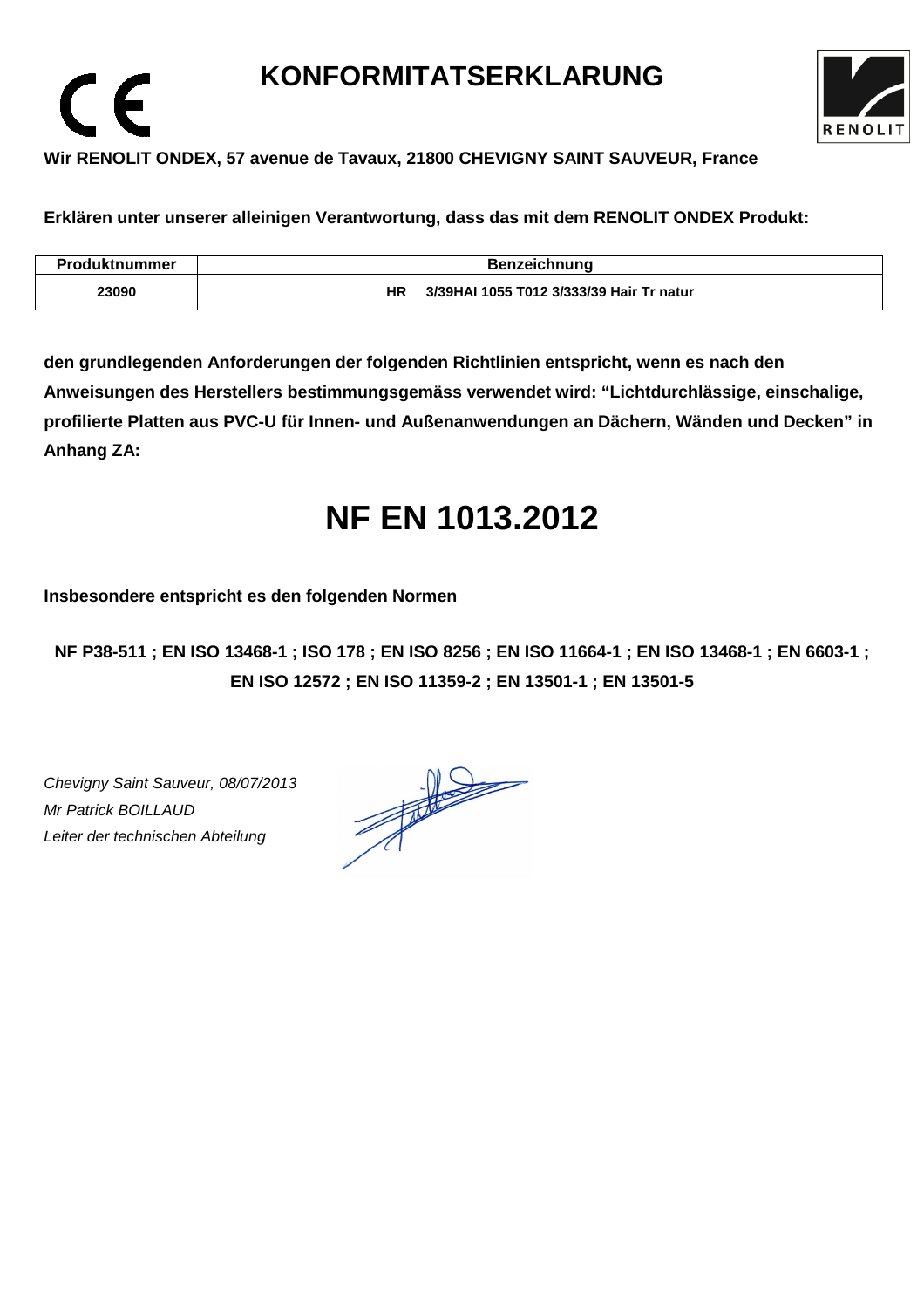## **KONFORMITATSERKLARUNG**



### **Wir RENOLIT ONDEX, 57 avenue de Tavaux, 21800 CHEVIGNY SAINT SAUVEUR, France**

**Erklären unter unserer alleinigen Verantwortung, dass das mit dem RENOLIT ONDEX Produkt:** 

| Produktnummer | <b>Benzeichnung</b>                             |
|---------------|-------------------------------------------------|
| 23090         | 3/39 HAI 1055 T012 3/333/39 Hair Tr natur<br>HR |

**den grundlegenden Anforderungen der folgenden Richtlinien entspricht, wenn es nach den Anweisungen des Herstellers bestimmungsgemäss verwendet wird: "Lichtdurchlässige, einschalige, profilierte Platten aus PVC-U für Innen- und Außenanwendungen an Dächern, Wänden und Decken" in Anhang ZA:** 

# **NF EN 1013.2012**

**Insbesondere entspricht es den folgenden Normen** 

**NF P38-511 ; EN ISO 13468-1 ; ISO 178 ; EN ISO 8256 ; EN ISO 11664-1 ; EN ISO 13468-1 ; EN 6603-1 ; EN ISO 12572 ; EN ISO 11359-2 ; EN 13501-1 ; EN 13501-5**

Chevigny Saint Sauveur, 08/07/2013 Mr Patrick BOILLAUD Leiter der technischen Abteilung

 $\epsilon$ 

 $\frac{1}{\sqrt{2}}$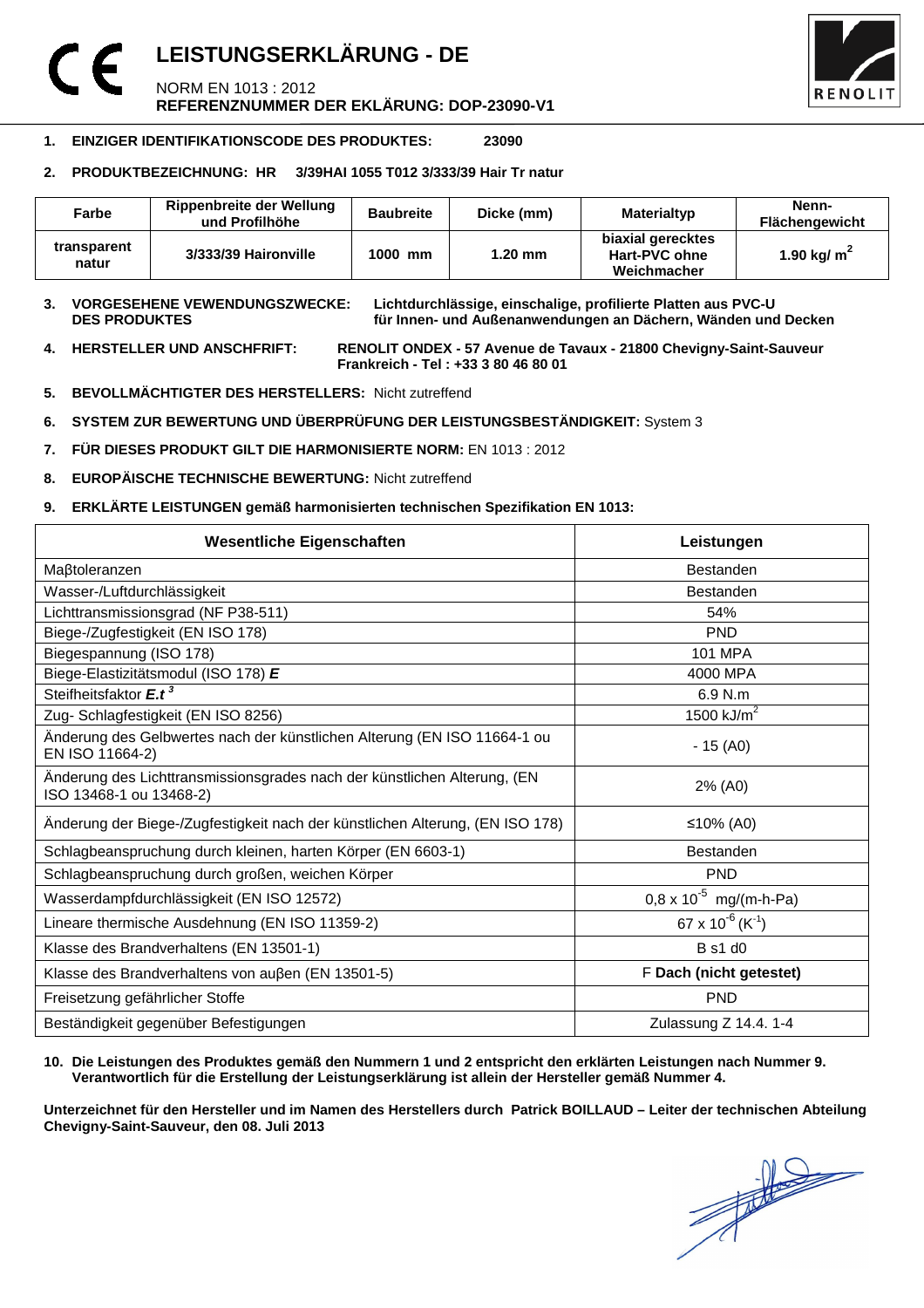### **LEISTUNGSERKLÄRUNG - DE**  NORM EN 1013 : 2012 **REFERENZNUMMER DER EKLÄRUNG: DOP-23090-V1**



#### **1. EINZIGER IDENTIFIKATIONSCODE DES PRODUKTES: 23090**

#### **2. PRODUKTBEZEICHNUNG: HR 3/39HAI 1055 T012 3/333/39 Hair Tr natur**

| Farbe                | <b>Rippenbreite der Wellung</b><br>und Profilhöhe | <b>Baubreite</b> | Dicke (mm) | Materialtyp                                       | Nenn-<br>Flächengewicht |
|----------------------|---------------------------------------------------|------------------|------------|---------------------------------------------------|-------------------------|
| transparent<br>natur | 3/333/39 Haironville                              | 1000 mm          | $1.20$ mm  | biaxial gerecktes<br>Hart-PVC ohne<br>Weichmacher | 1.90 kg/ $m2$           |

**3. VORGESEHENE VEWENDUNGSZWECKE: Lichtdurchlässige, einschalige, profilierte Platten aus PVC-U**  für Innen- und Außenanwendungen an Dächern, Wänden und Decken

**4. HERSTELLER UND ANSCHFRIFT: RENOLIT ONDEX - 57 Avenue de Tavaux - 21800 Chevigny-Saint-Sauveur Frankreich - Tel : +33 3 80 46 80 01** 

- **5. BEVOLLMÄCHTIGTER DES HERSTELLERS:** Nicht zutreffend
- **6. SYSTEM ZUR BEWERTUNG UND ÜBERPRÜFUNG DER LEISTUNGSBESTÄNDIGKEIT:** System 3
- **7. FÜR DIESES PRODUKT GILT DIE HARMONISIERTE NORM:** EN 1013 : 2012
- **8. EUROPÄISCHE TECHNISCHE BEWERTUNG:** Nicht zutreffend
- **9. ERKLÄRTE LEISTUNGEN gemäß harmonisierten technischen Spezifikation EN 1013:**

| <b>Wesentliche Eigenschaften</b>                                                                    | Leistungen                               |  |
|-----------------------------------------------------------------------------------------------------|------------------------------------------|--|
| Maßtoleranzen                                                                                       | <b>Bestanden</b>                         |  |
| Wasser-/Luftdurchlässigkeit                                                                         | <b>Bestanden</b>                         |  |
| Lichttransmissionsgrad (NF P38-511)                                                                 | 54%                                      |  |
| Biege-/Zugfestigkeit (EN ISO 178)                                                                   | <b>PND</b>                               |  |
| Biegespannung (ISO 178)                                                                             | <b>101 MPA</b>                           |  |
| Biege-Elastizitätsmodul (ISO 178) E                                                                 | 4000 MPA                                 |  |
| Steifheitsfaktor E.t <sup>3</sup>                                                                   | 6.9 N.m                                  |  |
| Zug- Schlagfestigkeit (EN ISO 8256)                                                                 | 1500 $kJ/m2$                             |  |
| Änderung des Gelbwertes nach der künstlichen Alterung (EN ISO 11664-1 ou<br>EN ISO 11664-2)         | $-15(40)$                                |  |
| Änderung des Lichttransmissionsgrades nach der künstlichen Alterung, (EN<br>ISO 13468-1 ou 13468-2) | 2% (A0)                                  |  |
| Änderung der Biege-/Zugfestigkeit nach der künstlichen Alterung, (EN ISO 178)                       | ≤10% (A0)                                |  |
| Schlagbeanspruchung durch kleinen, harten Körper (EN 6603-1)                                        | <b>Bestanden</b>                         |  |
| Schlagbeanspruchung durch großen, weichen Körper                                                    | <b>PND</b>                               |  |
| Wasserdampfdurchlässigkeit (EN ISO 12572)                                                           | $0.8 \times 10^{-5}$ mg/(m-h-Pa)         |  |
| Lineare thermische Ausdehnung (EN ISO 11359-2)                                                      | 67 x 10 <sup>-6</sup> (K <sup>-1</sup> ) |  |
| Klasse des Brandverhaltens (EN 13501-1)                                                             | <b>B</b> s1 d0                           |  |
| Klasse des Brandverhaltens von außen (EN 13501-5)                                                   | F Dach (nicht getestet)                  |  |
| Freisetzung gefährlicher Stoffe                                                                     | <b>PND</b>                               |  |
| Beständigkeit gegenüber Befestigungen                                                               | Zulassung Z 14.4. 1-4                    |  |

#### **10. Die Leistungen des Produktes gemäß den Nummern 1 und 2 entspricht den erklärten Leistungen nach Nummer 9. Verantwortlich für die Erstellung der Leistungserklärung ist allein der Hersteller gemäß Nummer 4.**

**Unterzeichnet für den Hersteller und im Namen des Herstellers durch Patrick BOILLAUD – Leiter der technischen Abteilung Chevigny-Saint-Sauveur, den 08. Juli 2013**

 $\frac{1}{\sqrt{2}}$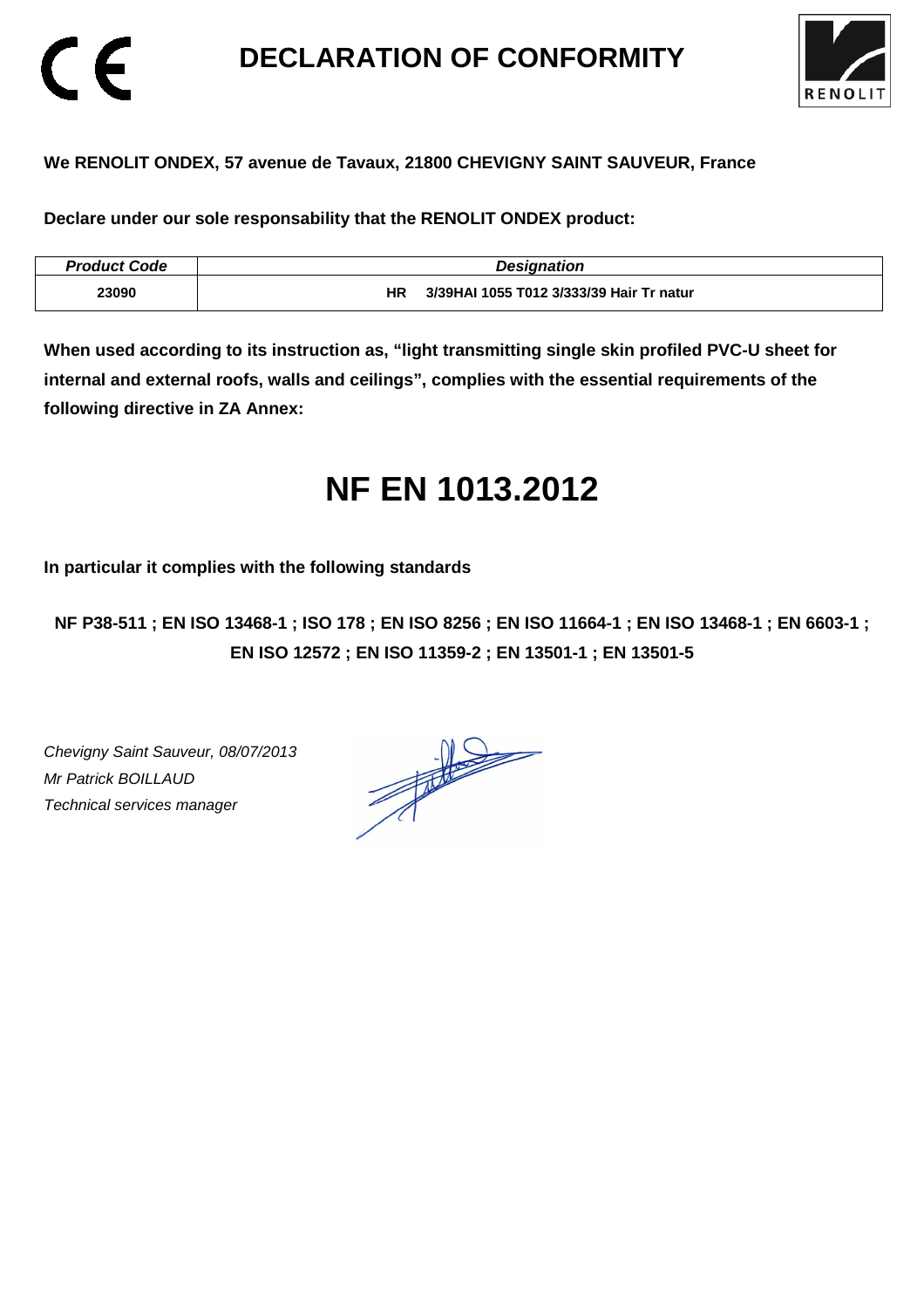### **DECLARATION OF CONFORMITY**



### **We RENOLIT ONDEX, 57 avenue de Tavaux, 21800 CHEVIGNY SAINT SAUVEUR, France**

**Declare under our sole responsability that the RENOLIT ONDEX product:** 

| <b>Product Code</b> | <b>Designation</b>                             |
|---------------------|------------------------------------------------|
| 23090               | 3/39HAI 1055 T012 3/333/39 Hair Tr natur<br>ΗR |

**When used according to its instruction as, "light transmitting single skin profiled PVC-U sheet for internal and external roofs, walls and ceilings", complies with the essential requirements of the following directive in ZA Annex:** 

# **NF EN 1013.2012**

**In particular it complies with the following standards** 

**NF P38-511 ; EN ISO 13468-1 ; ISO 178 ; EN ISO 8256 ; EN ISO 11664-1 ; EN ISO 13468-1 ; EN 6603-1 ; EN ISO 12572 ; EN ISO 11359-2 ; EN 13501-1 ; EN 13501-5**

Chevigny Saint Sauveur, 08/07/2013 Mr Patrick BOILLAUD Technical services manager

CE

 $\frac{1}{\sqrt{2}}$